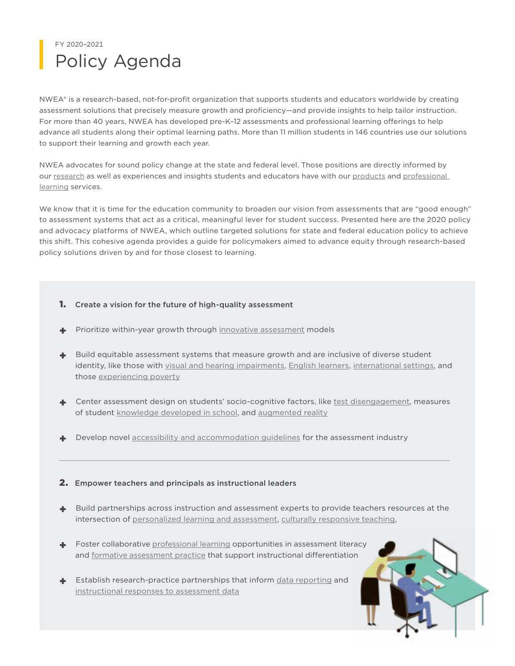## Policy Agenda FY 2020–2021

NWEA® is a research-based, not-for-profit organization that supports students and educators worldwide by creating assessment solutions that precisely measure growth and proficiency—and provide insights to help tailor instruction. For more than 40 years, NWEA has developed pre-K–12 assessments and professional learning offerings to help advance all students along their optimal learning paths. More than 11 million students in 146 countries use our solutions to support their learning and growth each year.

NWEA advocates for sound policy change at the state and federal level. Those positions are directly informed by our [research](https://www.nwea.org/research-overview/) as well as experiences and insights students and educators have with our [products](https://www.nwea.org/the-map-suite/) and professional [learning](https://www.nwea.org/professional-learning-overview/) services.

We know that it is time for the education community to broaden our vision from assessments that are "good enough" to assessment systems that act as a critical, meaningful lever for student success. Presented here are the 2020 policy and advocacy platforms of NWEA, which outline targeted solutions for state and federal education policy to achieve this shift. This cohesive agenda provides a guide for policymakers aimed to advance equity through research-based policy solutions driven by and for those closest to learning.

- 1. Create a vision for the future of high-quality assessment
- Prioritize within-year growth through [innovative assessment](https://www.nwea.org/state-assessment-solutions/) models
- + Build equitable assessment systems that measure growth and are inclusive of diverse student identity, like those with [visual and hearing impairments](https://www.nwea.org/blog/2016/testing-students-who-are-visually-impaired-or-blind-what-am-i-missing/), [English learners](https://www.nwea.org/map-growth/map-spanish/), [international settings,](https://www.nwea.org/schools/international/) and those [experiencing poverty](https://www.nwea.org/resource-library/nwea-collaborative-for-student-growth-2/are-achievement-gap-estimates-biased-by-differential-student-test-effort-3)
- + Center assessment design on students' socio-cognitive factors, like [test disengagement](https://www.nwea.org/resource-library/research/the-impact-of-proctor-notification-when-students-disengage-3), measures of student [knowledge developed in school](https://www.youtube.com/watch?v=FEj0OVBMxzA&feature=youtu.be), and [augmented reality](https://www.nwea.org/blog/2018/back-to-school-with-the-innovation-lab/?prevItm=518267191&prevCol=3822620&ts=44787)
- Develop novel [accessibility and accommodation guidelines](https://www.nwea.org/content/uploads/2017/06/Image-Description-Guidelines-for-Assessments-2017.pdf) for the assessment industry

## 2. Empower teachers and principals as instructional leaders

- + Build partnerships across instruction and assessment experts to provide teachers resources at the intersection of [personalized learning and assessment,](https://www.nwea.org/khan-partnership/?utm_medium=nwea.org&utm_source=web-slider&utm_campaign=khan-announcement&utm_content=khan-announcement-webpage&utm_term=6-19) [culturally responsive teaching,](https://www.nwea.org/blog/2018/three-research-based-culturally-responsive-teaching-strategies/?prevItm=519611575&prevCol=3822596&ts=26951)
- + Foster collaborative [professional learning](https://www.nwea.org/data-coaching-consulting/) opportunities in assessment literacy and [formative assessment practice](https://www.nwea.org/formative-instructional-practice/) that support instructional differentiation
- + Establish research-practice partnerships that inform [data reporting](https://www.nwea.org/resource-library/nwea-research-center-for-school-and-student-progress/insights-report-for-map-growth-by-nwea) and [instructional responses to assessment data](https://www.nwea.org/partnering-consulting/)